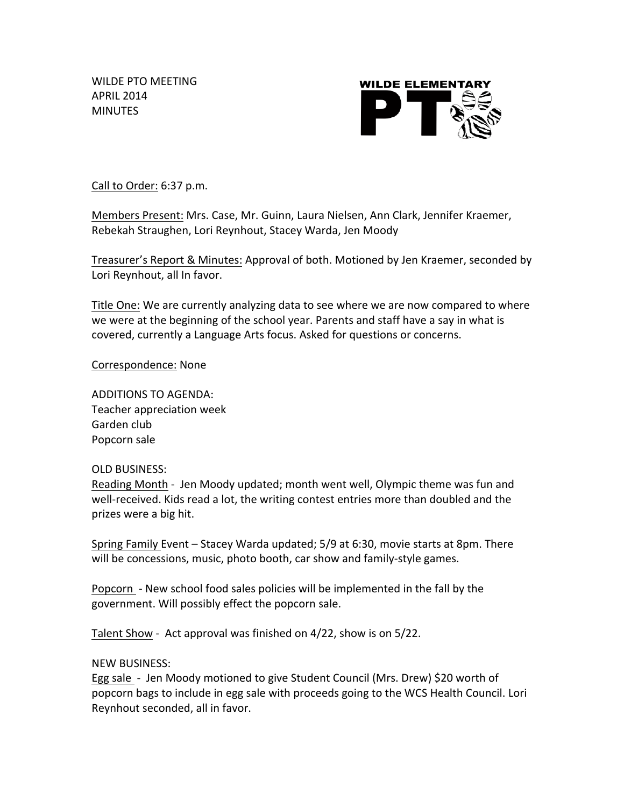WILDE PTO MEETING APRIL 2014 **MINUTES** 



Call to Order: 6:37 p.m.

Members Present: Mrs. Case, Mr. Guinn, Laura Nielsen, Ann Clark, Jennifer Kraemer, Rebekah Straughen, Lori Reynhout, Stacey Warda, Jen Moody

Treasurer's Report & Minutes: Approval of both. Motioned by Jen Kraemer, seconded by Lori Reynhout, all In favor.

Title One: We are currently analyzing data to see where we are now compared to where we were at the beginning of the school year. Parents and staff have a say in what is covered, currently a Language Arts focus. Asked for questions or concerns.

## Correspondence: None

ADDITIONS TO AGENDA: Teacher appreciation week Garden club Popcorn sale

## OLD BUSINESS:

Reading Month - Jen Moody updated; month went well, Olympic theme was fun and well-received. Kids read a lot, the writing contest entries more than doubled and the prizes were a big hit.

Spring Family Event – Stacey Warda updated; 5/9 at 6:30, movie starts at 8pm. There will be concessions, music, photo booth, car show and family-style games.

Popcorn - New school food sales policies will be implemented in the fall by the government. Will possibly effect the popcorn sale.

Talent Show - Act approval was finished on  $4/22$ , show is on  $5/22$ .

## **NEW BUSINESS:**

Egg sale - Jen Moody motioned to give Student Council (Mrs. Drew) \$20 worth of popcorn bags to include in egg sale with proceeds going to the WCS Health Council. Lori Reynhout seconded, all in favor.